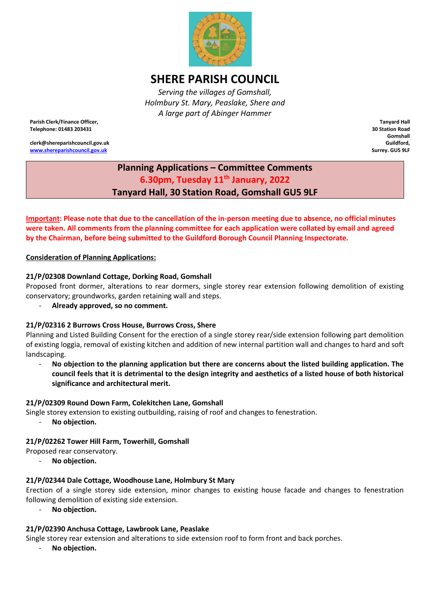

# **SHERE PARISH COUNCIL**

*Serving the villages of Gomshall, Holmbury St. Mary, Peaslake, Shere and A large part of Abinger Hammer*

**Parish Clerk/Finance Officer, Telephone: 01483 203431**

**clerk@shereparishcouncil.gov.uk [www.shereparishcouncil.gov.uk](http://www.shereparishcouncil.gov.uk/)**

**Tanyard Hall 30 Station Road Gomshall Guildford, Surrey. GU5 9LF**

## **Planning Applications – Committee Comments 6.30pm, Tuesday 11th January, 2022 Tanyard Hall, 30 Station Road, Gomshall GU5 9LF**

**Important: Please note that due to the cancellation of the in-person meeting due to absence, no official minutes were taken. All comments from the planning committee for each application were collated by email and agreed by the Chairman, before being submitted to the Guildford Borough Council Planning Inspectorate.**

#### **Consideration of Planning Applications:**

#### **21/P/02308 Downland Cottage, Dorking Road, Gomshall**

Proposed front dormer, alterations to rear dormers, single storey rear extension following demolition of existing conservatory; groundworks, garden retaining wall and steps.

- **Already approved, so no comment.**

#### **21/P/02316 2 Burrows Cross House, Burrows Cross, Shere**

Planning and Listed Building Consent for the erection of a single storey rear/side extension following part demolition of existing loggia, removal of existing kitchen and addition of new internal partition wall and changes to hard and soft landscaping.

- **No objection to the planning application but there are concerns about the listed building application. The council feels that it is detrimental to the design integrity and aesthetics of a listed house of both historical significance and architectural merit.**

#### **21/P/02309 Round Down Farm, Colekitchen Lane, Gomshall**

Single storey extension to existing outbuilding, raising of roof and changes to fenestration.

- **No objection.**

#### **21/P/02262 Tower Hill Farm, Towerhill, Gomshall**

Proposed rear conservatory.

- **No objection.**

### **21/P/02344 Dale Cottage, Woodhouse Lane, Holmbury St Mary**

Erection of a single storey side extension, minor changes to existing house facade and changes to fenestration following demolition of existing side extension.

- **No objection.**

#### **21/P/02390 Anchusa Cottage, Lawbrook Lane, Peaslake**

Single storey rear extension and alterations to side extension roof to form front and back porches.

No objection.